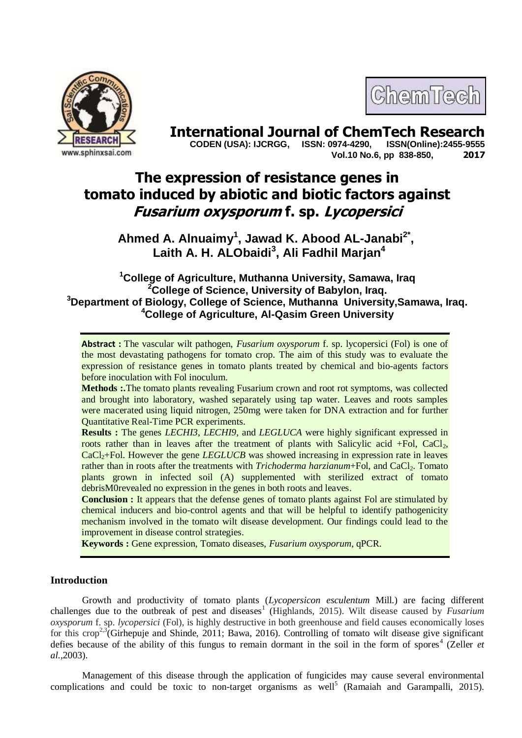



**International Journal of ChemTech Research CODEN (USA): IJCRGG. ISSN: 0974-4290. ISSN(Online):2455-9555 CODEN (USA): IJCRGG, ISSN: 0974-4290, Vol.10 No.6, pp 838-850, 2017**

# **The expression of resistance genes in tomato induced by abiotic and biotic factors against Fusarium oxysporum f. sp. Lycopersici**

**Ahmed A. Alnuaimy<sup>1</sup> , Jawad K. Abood AL-Janabi2\* , Laith A. H. ALObaidi<sup>3</sup> , Ali Fadhil Marjan<sup>4</sup>**

# **<sup>1</sup>College of Agriculture, Muthanna University, Samawa, Iraq <sup>2</sup>College of Science, University of Babylon, Iraq. <sup>3</sup>Department of Biology, College of Science, Muthanna University,Samawa, Iraq. <sup>4</sup>College of Agriculture, Al-Qasim Green University**

**Abstract :** The vascular wilt pathogen, *Fusarium oxysporum* f. sp. lycopersici (Fol) is one of the most devastating pathogens for tomato crop. The aim of this study was to evaluate the expression of resistance genes in tomato plants treated by chemical and bio-agents factors before inoculation with Fol inoculum.

**Methods :.**The tomato plants revealing Fusarium crown and root rot symptoms, was collected and brought into laboratory, washed separately using tap water. Leaves and roots samples were macerated using liquid nitrogen, 250mg were taken for DNA extraction and for further Quantitative Real-Time PCR experiments.

**Results :** The genes *LECHI3*, *LECHI9*, and *LEGLUCA* were highly significant expressed in roots rather than in leaves after the treatment of plants with Salicylic acid  $+Fol$ , CaCl<sub>2</sub>, CaCl<sub>2</sub>+Fol. However the gene *LEGLUCB* was showed increasing in expression rate in leaves rather than in roots after the treatments with *Trichoderma harzianum*+Fol, and CaCl<sub>2</sub>. Tomato plants grown in infected soil (A) supplemented with sterilized extract of tomato debrisM0revealed no expression in the genes in both roots and leaves.

**Conclusion :** It appears that the defense genes of tomato plants against Fol are stimulated by chemical inducers and bio-control agents and that will be helpful to identify pathogenicity mechanism involved in the tomato wilt disease development. Our findings could lead to the improvement in disease control strategies.

**Keywords :** Gene expression, Tomato diseases, *Fusarium oxysporum*, qPCR.

# **Introduction**

Growth and productivity of tomato plants (*Lycopersicon esculentum* Mill.) are facing different challenges due to the outbreak of pest and diseases<sup>1</sup> (Highlands, 2015). Wilt disease caused by *Fusarium oxysporum* f. sp. *lycopersici* (Fol), is highly destructive in both greenhouse and field causes economically loses for this crop<sup>2,3</sup>(Girhepuje and Shinde, 2011; Bawa, 2016). Controlling of tomato wilt disease give significant defies because of the ability of this fungus to remain dormant in the soil in the form of spores<sup>4</sup> (Zeller *et al.,*2003).

Management of this disease through the application of fungicides may cause several environmental complications and could be toxic to non-target organisms as well<sup>5</sup> (Ramaiah and Garampalli, 2015).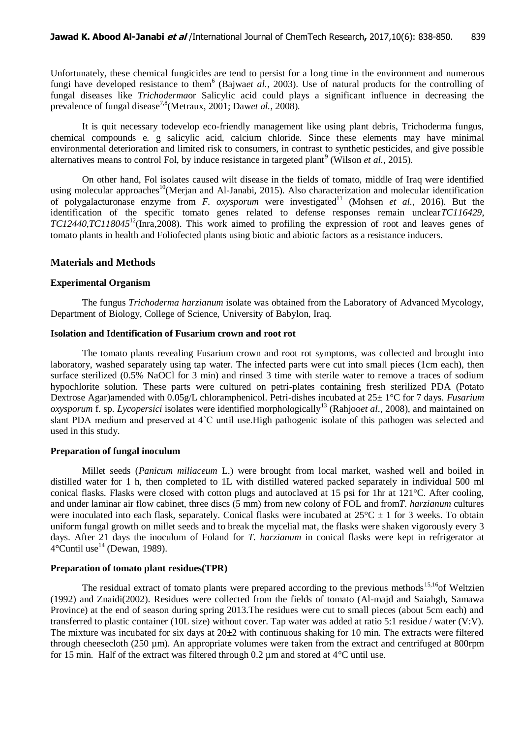Unfortunately, these chemical fungicides are tend to persist for a long time in the environment and numerous fungi have developed resistance to them<sup>6</sup> (Bajwa*et al.*, 2003). Use of natural products for the controlling of fungal diseases like *Trichoderma*or Salicylic acid could plays a significant influence in decreasing the prevalence of fungal disease<sup>7,8</sup>(Metraux, 2001; Daw*et al.*, 2008).

It is quit necessary todevelop eco-friendly management like using plant debris, Trichoderma fungus, chemical compounds e. g salicylic acid, calcium chloride. Since these elements may have minimal environmental deterioration and limited risk to consumers, in contrast to synthetic pesticides, and give possible alternatives means to control Fol, by induce resistance in targeted plant<sup>9</sup> (Wilson *et al.*, 2015).

On other hand, Fol isolates caused wilt disease in the fields of tomato, middle of Iraq were identified using molecular approaches<sup>10</sup>(Merjan and Al-Janabi, 2015). Also characterization and molecular identification of polygalacturonase enzyme from *F. oxysporum* were investigated<sup>11</sup> (Mohsen *et al.*, 2016). But the identification of the specific tomato genes related to defense responses remain unclear*TC116429*, *TC12440*,*TC118045*<sup>12</sup>(Inra,2008). This work aimed to profiling the expression of root and leaves genes of tomato plants in health and Foliofected plants using biotic and abiotic factors as a resistance inducers.

# **Materials and Methods**

## **Experimental Organism**

The fungus *Trichoderma harzianum* isolate was obtained from the Laboratory of Advanced Mycology, Department of Biology, College of Science, University of Babylon, Iraq.

## **Isolation and Identification of Fusarium crown and root rot**

The tomato plants revealing Fusarium crown and root rot symptoms, was collected and brought into laboratory, washed separately using tap water. The infected parts were cut into small pieces (1cm each), then surface sterilized (0.5% NaOCl for 3 min) and rinsed 3 time with sterile water to remove a traces of sodium hypochlorite solution. These parts were cultured on petri-plates containing fresh sterilized PDA (Potato Dextrose Agar)amended with 0.05g/L chloramphenicol. Petri-dishes incubated at 25± 1°C for 7 days. *Fusarium oxysporum* f. sp. *Lycopersici* isolates were identified morphologically<sup>13</sup> (Rahjoo*et al.*, 2008), and maintained on slant PDA medium and preserved at 4˚C until use.High pathogenic isolate of this pathogen was selected and used in this study.

# **Preparation of fungal inoculum**

Millet seeds (*Panicum miliaceum* L.) were brought from local market, washed well and boiled in distilled water for 1 h, then completed to 1L with distilled watered packed separately in individual 500 ml conical flasks*.* Flasks were closed with cotton plugs and autoclaved at 15 psi for 1hr at 121°C. After cooling, and under laminar air flow cabinet, three discs (5 mm) from new colony of FOL and from*T. harzianum* cultures were inoculated into each flask, separately. Conical flasks were incubated at  $25^{\circ}C \pm 1$  for 3 weeks. To obtain uniform fungal growth on millet seeds and to break the mycelial mat*,* the flasks were shaken vigorously every 3 days. After 21 days the inoculum of Foland for *T. harzianum* in conical flasks were kept in refrigerator at  $4^{\circ}$ Cuntil use<sup>14</sup> (Dewan, 1989).

#### **Preparation of tomato plant residues(TPR)**

The residual extract of tomato plants were prepared according to the previous methods<sup>15,16</sup>of Weltzien (1992) and Znaidi(2002). Residues were collected from the fields of tomato (Al-majd and Saiahgh, Samawa Province) at the end of season during spring 2013.The residues were cut to small pieces (about 5cm each) and transferred to plastic container (10L size) without cover. Tap water was added at ratio 5:1 residue / water (V:V). The mixture was incubated for six days at  $20\pm 2$  with continuous shaking for 10 min. The extracts were filtered through cheesecloth (250 µm). An appropriate volumes were taken from the extract and centrifuged at 800rpm for 15 min. Half of the extract was filtered through 0.2 µm and stored at  $4^{\circ}$ C until use.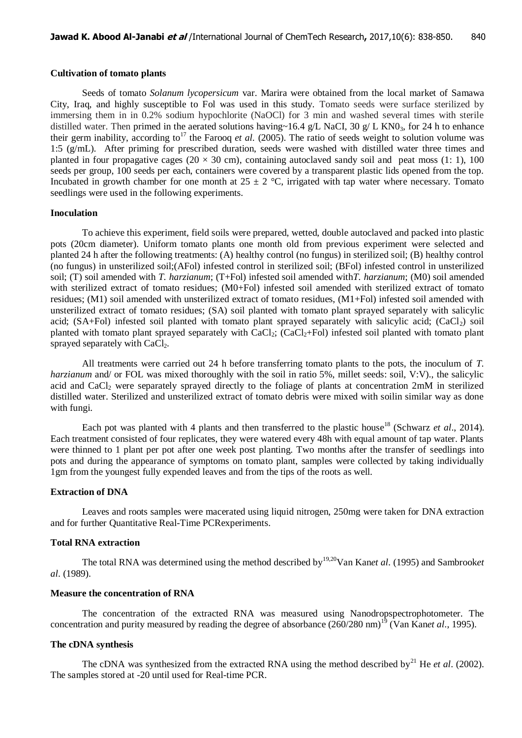#### **Cultivation of tomato plants**

Seeds of tomato *Solanum lycopersicum* var. Marira were obtained from the local market of Samawa City, Iraq, and highly susceptible to Fol was used in this study. Tomato seeds were surface sterilized by immersing them in in 0.2% sodium hypochlorite (NaOCl) for 3 min and washed several times with sterile distilled water. Then primed in the aerated solutions having~16.4 g/L NaCI, 30 g/ L KN0<sub>3</sub>, for 24 h to enhance their germ inability, according to<sup>17</sup> the Farooq *et al.* (2005). The ratio of seeds weight to solution volume was 1:5 (g/mL). After priming for prescribed duration, seeds were washed with distilled water three times and planted in four propagative cages (20  $\times$  30 cm), containing autoclaved sandy soil and peat moss (1: 1), 100 seeds per group, 100 seeds per each, containers were covered by a transparent plastic lids opened from the top. Incubated in growth chamber for one month at  $25 \pm 2$  °C, irrigated with tap water where necessary. Tomato seedlings were used in the following experiments.

#### **Inoculation**

To achieve this experiment, field soils were prepared, wetted, double autoclaved and packed into plastic pots (20cm diameter). Uniform tomato plants one month old from previous experiment were selected and planted 24 h after the following treatments: (A) healthy control (no fungus) in sterilized soil; (B) healthy control (no fungus) in unsterilized soil;(AFol) infested control in sterilized soil; (BFol) infested control in unsterilized soil; (T) soil amended with *T. harzianum*; (T+Fol) infested soil amended with*T. harzianum*; (M0) soil amended with sterilized extract of tomato residues; (M0+Fol) infested soil amended with sterilized extract of tomato residues; (M1) soil amended with unsterilized extract of tomato residues, (M1+Fol) infested soil amended with unsterilized extract of tomato residues; (SA) soil planted with tomato plant sprayed separately with salicylic acid;  $(SA+Fol)$  infested soil planted with tomato plant sprayed separately with salicylic acid;  $(CaCl<sub>2</sub>)$  soil planted with tomato plant sprayed separately with  $CaCl<sub>2</sub>$ ;  $CaCl<sub>2</sub>+Fol$ ) infested soil planted with tomato plant sprayed separately with CaCl<sub>2</sub>.

All treatments were carried out 24 h before transferring tomato plants to the pots, the inoculum of *T. harzianum* and/ or FOL was mixed thoroughly with the soil in ratio 5%, millet seeds: soil, V:V)., the salicylic acid and CaCl<sub>2</sub> were separately sprayed directly to the foliage of plants at concentration 2mM in sterilized distilled water. Sterilized and unsterilized extract of tomato debris were mixed with soilin similar way as done with fungi.

Each pot was planted with 4 plants and then transferred to the plastic house<sup>18</sup> (Schwarz *et al.*, 2014). Each treatment consisted of four replicates, they were watered every 48h with equal amount of tap water. Plants were thinned to 1 plant per pot after one week post planting. Two months after the transfer of seedlings into pots and during the appearance of symptoms on tomato plant, samples were collected by taking individually 1gm from the youngest fully expended leaves and from the tips of the roots as well.

#### **Extraction of DNA**

Leaves and roots samples were macerated using liquid nitrogen, 250mg were taken for DNA extraction and for further Quantitative Real-Time PCRexperiments.

#### **Total RNA extraction**

The total RNA was determined using the method described by<sup>19,20</sup>Van Kan*et al.* (1995) and Sambrook*et al*. (1989).

## **Measure the concentration of RNA**

The concentration of the extracted RNA was measured using Nanodropspectrophotometer. The concentration and purity measured by reading the degree of absorbance (260/280 nm)<sup>19</sup> (Van Kan*et al.*, 1995).

#### **The cDNA synthesis**

The cDNA was synthesized from the extracted RNA using the method described by<sup>21</sup> He *et al.* (2002). The samples stored at -20 until used for Real-time PCR.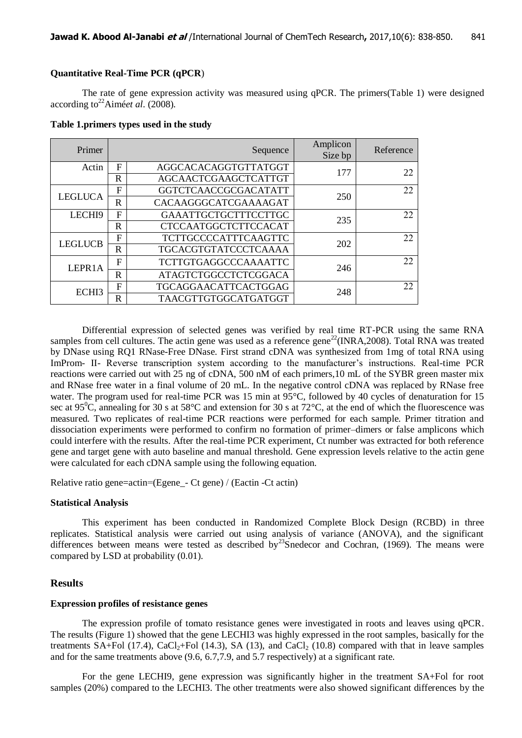# **Quantitative Real-Time PCR (qPCR**)

The rate of gene expression activity was measured using qPCR. The primers(Table 1) were designed according to<sup>22</sup>Aimé*et al.* (2008).

| Table 1.primers types used in the study |  |  |  |  |  |  |
|-----------------------------------------|--|--|--|--|--|--|
|-----------------------------------------|--|--|--|--|--|--|

| Primer         | Sequence    |                                                     | Amplicon<br>Size bp | Reference |
|----------------|-------------|-----------------------------------------------------|---------------------|-----------|
| Actin          | F           | AGGCACACAGGTGTTATGGT                                | 177                 | 22        |
|                | $\mathbf R$ | AGCAACTCGAAGCTCATTGT                                |                     |           |
| <b>LEGLUCA</b> | F           | GGTCTCAACCGCGACATATT                                | 250                 | 22        |
|                | $\mathbb R$ | CACAAGGGCATCGAAAAGAT                                |                     |           |
| LECHI9         | F           | GAAATTGCTGCTTTCCTTGC                                | 235                 | 22        |
|                | R           | <b>CTCCAATGGCTCTTCCACAT</b>                         |                     |           |
| <b>LEGLUCB</b> | F           | <b>TCTTGCCCCATTTCAAGTTC</b>                         | 202                 | 22        |
|                | $\mathbb R$ | TGCACGTGTATCCCTCAAAA                                |                     |           |
| LEPR1A         | F           | <b>TCTTGTGAGGCCCAAAATTC</b>                         | 246                 | 22        |
|                | R           | <b>ATAGTCTGGCCTCTCGGACA</b>                         |                     |           |
| ECHI3          | F           | TGCAGGAACATTCACTGGAG<br>248<br>TAACGTTGTGGCATGATGGT |                     | 22        |
|                | R           |                                                     |                     |           |

Differential expression of selected genes was verified by real time RT-PCR using the same RNA samples from cell cultures. The actin gene was used as a reference gene<sup>22</sup>(INRA,2008). Total RNA was treated by DNase using RQ1 RNase-Free DNase. First strand cDNA was synthesized from 1mg of total RNA using ImProm- II- Reverse transcription system according to the manufacturer's instructions. Real-time PCR reactions were carried out with 25 ng of cDNA, 500 nM of each primers,10 mL of the SYBR green master mix and RNase free water in a final volume of 20 mL. In the negative control cDNA was replaced by RNase free water. The program used for real-time PCR was 15 min at 95°C, followed by 40 cycles of denaturation for 15 sec at  $95^{\circ}$ C, annealing for 30 s at  $58^{\circ}$ C and extension for 30 s at  $72^{\circ}$ C, at the end of which the fluorescence was measured. Two replicates of real-time PCR reactions were performed for each sample. Primer titration and dissociation experiments were performed to confirm no formation of primer–dimers or false amplicons which could interfere with the results. After the real-time PCR experiment, Ct number was extracted for both reference gene and target gene with auto baseline and manual threshold. Gene expression levels relative to the actin gene were calculated for each cDNA sample using the following equation.

Relative ratio gene=actin=(Egene\_- Ct gene) / (Eactin -Ct actin)

#### **Statistical Analysis**

This experiment has been conducted in Randomized Complete Block Design (RCBD) in three replicates. Statistical analysis were carried out using analysis of variance (ANOVA), and the significant differences between means were tested as described by<sup>23</sup>Snedecor and Cochran, (1969). The means were compared by LSD at probability (0.01).

# **Results**

#### **Expression profiles of resistance genes**

The expression profile of tomato resistance genes were investigated in roots and leaves using qPCR. The results (Figure 1) showed that the gene LECHI3 was highly expressed in the root samples, basically for the treatments SA+Fol (17.4), CaCl<sub>2</sub>+Fol (14.3), SA (13), and CaCl<sub>2</sub> (10.8) compared with that in leave samples and for the same treatments above (9.6, 6.7,7.9, and 5.7 respectively) at a significant rate.

For the gene LECHI9, gene expression was significantly higher in the treatment SA+Fol for root samples (20%) compared to the LECHI3. The other treatments were also showed significant differences by the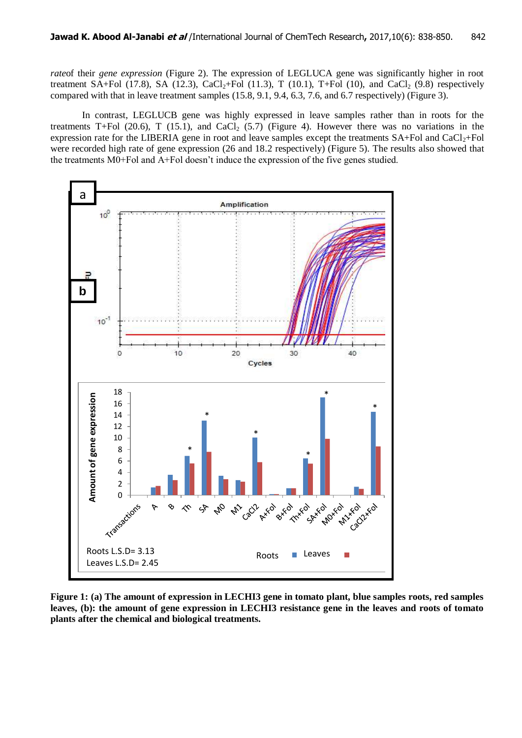*rate*of their *gene expression* (Figure 2). The expression of LEGLUCA gene was significantly higher in root treatment SA+Fol (17.8), SA (12.3), CaCl<sub>2</sub>+Fol (11.3), T (10.1), T+Fol (10), and CaCl<sub>2</sub> (9.8) respectively compared with that in leave treatment samples (15.8, 9.1, 9.4, 6.3, 7.6, and 6.7 respectively) (Figure 3).

In contrast, LEGLUCB gene was highly expressed in leave samples rather than in roots for the treatments T+Fol (20.6), T (15.1), and CaCl<sub>2</sub> (5.7) (Figure 4). However there was no variations in the expression rate for the LIBERIA gene in root and leave samples except the treatments  $SA+Fol$  and  $CaCl<sub>2</sub>+Fol$ were recorded high rate of gene expression (26 and 18.2 respectively) (Figure 5). The results also showed that the treatments M0+Fol and A+Fol doesn't induce the expression of the five genes studied.



**Figure 1: (a) The amount of expression in LECHI3 gene in tomato plant, blue samples roots, red samples leaves, (b): the amount of gene expression in LECHI3 resistance gene in the leaves and roots of tomato plants after the chemical and biological treatments.**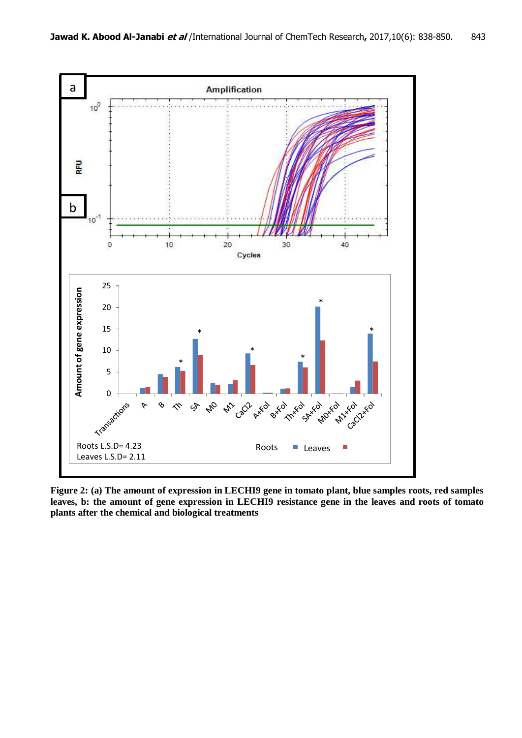

**Figure 2: (a) The amount of expression in LECHI9 gene in tomato plant, blue samples roots, red samples leaves, b: the amount of gene expression in LECHI9 resistance gene in the leaves and roots of tomato plants after the chemical and biological treatments**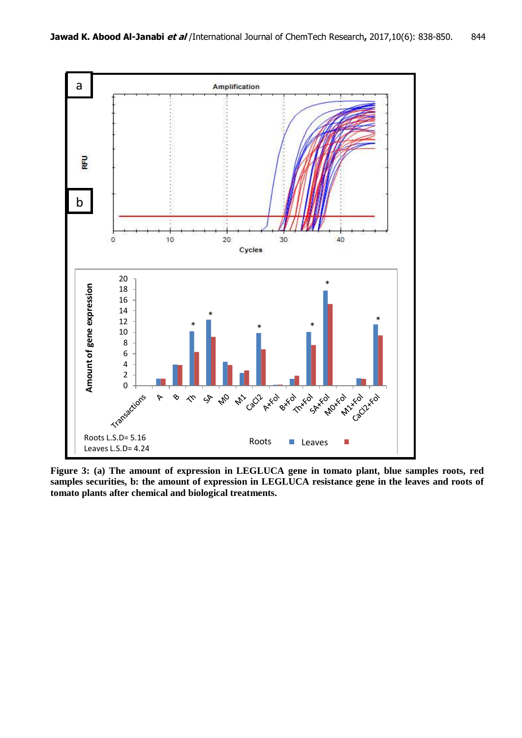

**Figure 3: (a) The amount of expression in LEGLUCA gene in tomato plant, blue samples roots, red samples securities, b: the amount of expression in LEGLUCA resistance gene in the leaves and roots of tomato plants after chemical and biological treatments.**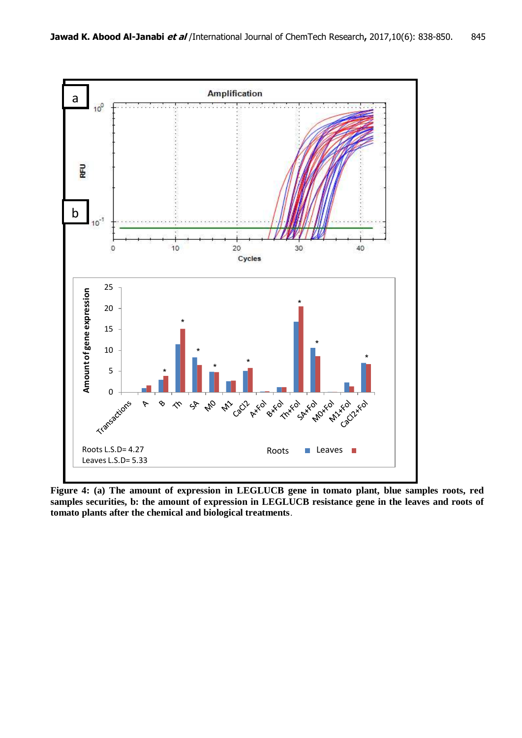

**Figure 4: (a) The amount of expression in LEGLUCB gene in tomato plant, blue samples roots, red samples securities, b: the amount of expression in LEGLUCB resistance gene in the leaves and roots of tomato plants after the chemical and biological treatments**.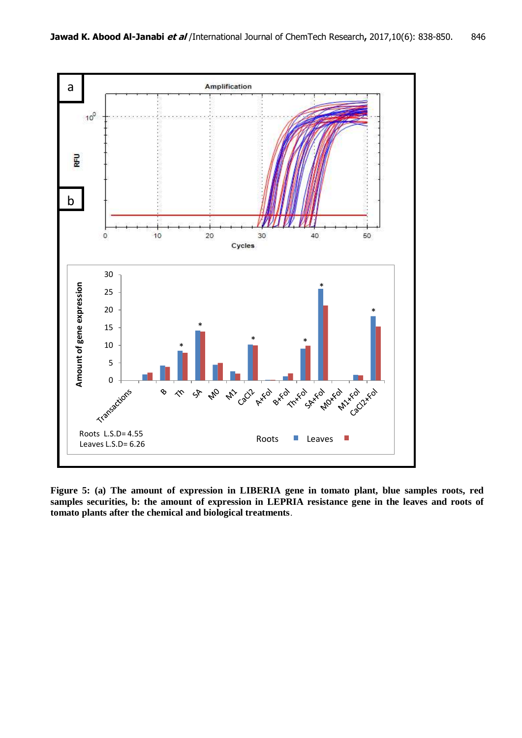

**Figure 5: (a) The amount of expression in LIBERIA gene in tomato plant, blue samples roots, red samples securities, b: the amount of expression in LEPRIA resistance gene in the leaves and roots of tomato plants after the chemical and biological treatments**.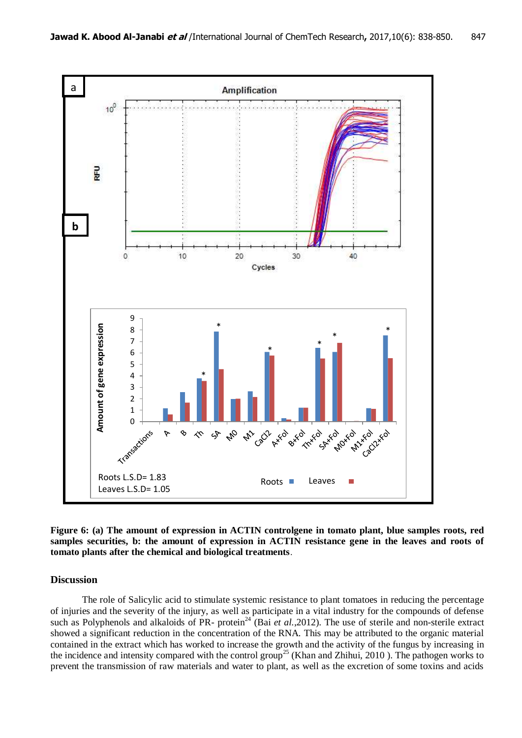

**Figure 6: (a) The amount of expression in ACTIN controlgene in tomato plant, blue samples roots, red samples securities, b: the amount of expression in ACTIN resistance gene in the leaves and roots of tomato plants after the chemical and biological treatments**.

## **Discussion**

The role of Salicylic acid to stimulate systemic resistance to plant tomatoes in reducing the percentage of injuries and the severity of the injury, as well as participate in a vital industry for the compounds of defense such as Polyphenols and alkaloids of PR- protein<sup>24</sup> (Bai *et al.*,2012). The use of sterile and non-sterile extract showed a significant reduction in the concentration of the RNA. This may be attributed to the organic material contained in the extract which has worked to increase the growth and the activity of the fungus by increasing in the incidence and intensity compared with the control group<sup>25</sup> (Khan and Zhihui, 2010). The pathogen works to prevent the transmission of raw materials and water to plant, as well as the excretion of some toxins and acids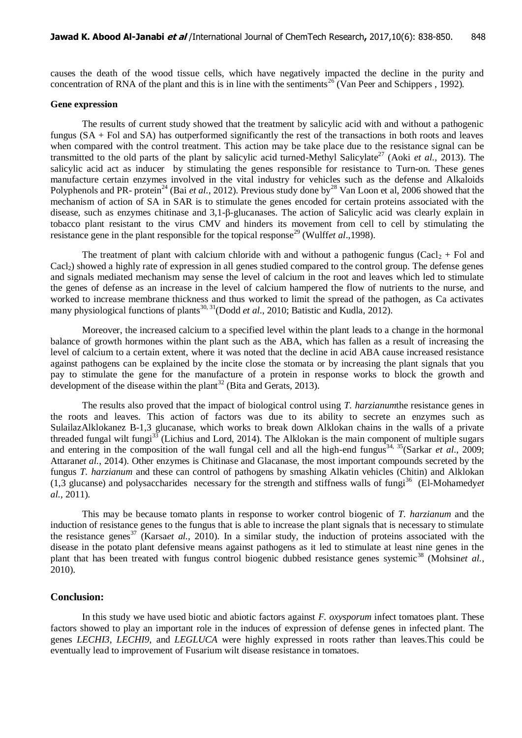causes the death of the wood tissue cells, which have negatively impacted the decline in the purity and concentration of RNA of the plant and this is in line with the sentiments<sup>26</sup> (Van Peer and Schippers , 1992).

#### **Gene expression**

The results of current study showed that the treatment by salicylic acid with and without a pathogenic fungus  $(SA + F<sub>o</sub>$  and  $SA$ ) has outperformed significantly the rest of the transactions in both roots and leaves when compared with the control treatment. This action may be take place due to the resistance signal can be transmitted to the old parts of the plant by salicylic acid turned-Methyl Salicylate<sup>27</sup> (Aoki *et al.*, 2013). The salicylic acid act as inducer by stimulating the genes responsible for resistance to Turn-on. These genes manufacture certain enzymes involved in the vital industry for vehicles such as the defense and Alkaloids Polyphenols and PR- protein<sup>24</sup> (Bai *et al.*, 2012). Previous study done by<sup>28</sup> Van Loon et al, 2006 showed that the mechanism of action of SA in SAR is to stimulate the genes encoded for certain proteins associated with the disease, such as enzymes chitinase and 3,1-β-glucanases. The action of Salicylic acid was clearly explain in tobacco plant resistant to the virus CMV and hinders its movement from cell to cell by stimulating the resistance gene in the plant responsible for the topical response<sup>29</sup> (Wulff*et al.*, 1998).

The treatment of plant with calcium chloride with and without a pathogenic fungus (Cacl<sub>2</sub> + Fol and Cacl<sub>2</sub>) showed a highly rate of expression in all genes studied compared to the control group. The defense genes and signals mediated mechanism may sense the level of calcium in the root and leaves which led to stimulate the genes of defense as an increase in the level of calcium hampered the flow of nutrients to the nurse, and worked to increase membrane thickness and thus worked to limit the spread of the pathogen, as Ca activates many physiological functions of plants<sup>30, 31</sup>(Dodd *et al.*, 2010; Batistic and Kudla, 2012).

Moreover, the increased calcium to a specified level within the plant leads to a change in the hormonal balance of growth hormones within the plant such as the ABA, which has fallen as a result of increasing the level of calcium to a certain extent, where it was noted that the decline in acid ABA cause increased resistance against pathogens can be explained by the incite close the stomata or by increasing the plant signals that you pay to stimulate the gene for the manufacture of a protein in response works to block the growth and development of the disease within the plant<sup>32</sup> (Bita and Gerats, 2013).

The results also proved that the impact of biological control using *T. harzianum*the resistance genes in the roots and leaves. This action of factors was due to its ability to secrete an enzymes such as SulailazAlklokanez B-1,3 glucanase, which works to break down Alklokan chains in the walls of a private threaded fungal wilt fungi<sup>33</sup> (Lichius and Lord, 2014). The Alklokan is the main component of multiple sugars and entering in the composition of the wall fungal cell and all the high-end fungus<sup>34, 35</sup>(Sarkar *et al.*, 2009; Attaran*et al.*, 2014). Other enzymes is Chitinase and Glacanase, the most important compounds secreted by the fungus *T. harzianum* and these can control of pathogens by smashing Alkatin vehicles (Chitin) and Alklokan (1,3 glucanse) and polysaccharides necessary for the strength and stiffness walls of fungi<sup>36</sup> (El-Mohamedy*et al.*, 2011).

This may be because tomato plants in response to worker control biogenic of *T. harzianum* and the induction of resistance genes to the fungus that is able to increase the plant signals that is necessary to stimulate the resistance genes<sup>37</sup> (Karsa*et al.*, 2010). In a similar study, the induction of proteins associated with the disease in the potato plant defensive means against pathogens as it led to stimulate at least nine genes in the plant that has been treated with fungus control biogenic dubbed resistance genes systemic<sup>38</sup> (Mohsin*et al.*, 2010).

#### **Conclusion:**

In this study we have used biotic and abiotic factors against *F. oxysporum* infect tomatoes plant. These factors showed to play an important role in the induces of expression of defense genes in infected plant. The genes *LECHI3*, *LECHI9*, and *LEGLUCA* were highly expressed in roots rather than leaves.This could be eventually lead to improvement of Fusarium wilt disease resistance in tomatoes.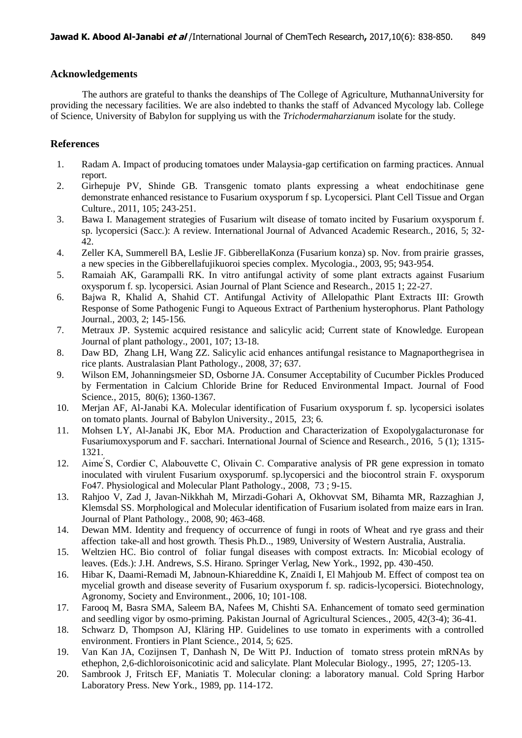# **Acknowledgements**

The authors are grateful to thanks the deanships of The College of Agriculture, MuthannaUniversity for providing the necessary facilities. We are also indebted to thanks the staff of Advanced Mycology lab. College of Science, University of Babylon for supplying us with the *Trichodermaharzianum* isolate for the study.

# **References**

- 1. Radam A. Impact of producing tomatoes under Malaysia-gap certification on farming practices. Annual report.
- 2. Girhepuje PV, Shinde GB. Transgenic tomato plants expressing a wheat endochitinase gene demonstrate enhanced resistance to Fusarium oxysporum f sp. Lycopersici. Plant Cell Tissue and Organ Culture., 2011, 105; 243-251.
- 3. Bawa I. Management strategies of Fusarium wilt disease of tomato incited by Fusarium oxysporum f. sp. lycopersici (Sacc.): A review. International Journal of Advanced Academic Research., 2016, 5; 32- 42.
- 4. Zeller KA, Summerell BA, Leslie JF. GibberellaKonza (Fusarium konza) sp. Nov. from prairie grasses, a new species in the Gibberellafujikuoroi species complex. Mycologia., 2003, 95; 943-954.
- 5. Ramaiah AK, Garampalli RK. In vitro antifungal activity of some plant extracts against Fusarium oxysporum f. sp. lycopersici. Asian Journal of Plant Science and Research., 2015 1; 22-27.
- 6. Bajwa R, Khalid A, Shahid CT. Antifungal Activity of Allelopathic Plant Extracts III: Growth Response of Some Pathogenic Fungi to Aqueous Extract of Parthenium hysterophorus. Plant Pathology Journal., 2003, 2; 145-156.
- 7. Metraux JP. Systemic acquired resistance and salicylic acid; Current state of Knowledge. European Journal of plant pathology., 2001, 107; 13-18.
- 8. Daw BD, Zhang LH, Wang ZZ. Salicylic acid enhances antifungal resistance to Magnaporthegrisea in rice plants. Australasian Plant Pathology., 2008, 37; 637.
- 9. Wilson EM, Johanningsmeier SD, Osborne JA. Consumer Acceptability of Cucumber Pickles Produced by Fermentation in Calcium Chloride Brine for Reduced Environmental Impact. Journal of Food Science., 2015, 80(6); 1360-1367.
- 10. Merjan AF, Al-Janabi KA. Molecular identification of Fusarium oxysporum f. sp. lycopersici isolates on tomato plants. Journal of Babylon University., 2015, 23; 6.
- 11. Mohsen LY, Al-Janabi JK, Ebor MA. Production and Characterization of Exopolygalacturonase for Fusariumoxysporum and F. sacchari. International Journal of Science and Research., 2016, 5 (1); 1315- 1321.
- 12. Aime S, Cordier C, Alabouvette C, Olivain C. Comparative analysis of PR gene expression in tomato inoculated with virulent Fusarium oxysporumf. sp.lycopersici and the biocontrol strain F. oxysporum Fo47. Physiological and Molecular Plant Pathology., 2008, 73 ; 9-15.
- 13. Rahjoo V, Zad J, Javan-Nikkhah M, Mirzadi-Gohari A, Okhovvat SM, Bihamta MR, Razzaghian J, Klemsdal SS. Morphological and Molecular identification of Fusarium isolated from maize ears in Iran. Journal of Plant Pathology., 2008, 90; 463-468.
- 14. Dewan MM. Identity and frequency of occurrence of fungi in roots of Wheat and rye grass and their affection take-all and host growth. Thesis Ph.D.., 1989, University of Western Australia, Australia.
- 15. Weltzien HC. Bio control of foliar fungal diseases with compost extracts. In: Micobial ecology of leaves. (Eds.): J.H. Andrews, S.S. Hirano. Springer Verlag, New York., 1992, pp. 430-450.
- 16. Hibar K, Daami-Remadi M, Jabnoun-Khiareddine K, Znaïdi I, El Mahjoub M. Effect of compost tea on mycelial growth and disease severity of Fusarium oxysporum f. sp. radicis-lycopersici. Biotechnology, Agronomy, Society and Environment., 2006, 10; 101-108.
- 17. Farooq M, Basra SMA, Saleem BA, Nafees M, Chishti SA. Enhancement of tomato seed germination and seedling vigor by osmo-priming. Pakistan Journal of Agricultural Sciences., 2005, 42(3-4); 36-41.
- 18. Schwarz D, Thompson AJ, Kläring HP. Guidelines to use tomato in experiments with a controlled environment. Frontiers in Plant Science., 2014, 5; 625.
- 19. Van Kan JA, Cozijnsen T, Danhash N, De Witt PJ. Induction of tomato stress protein mRNAs by ethephon, 2,6-dichloroisonicotinic acid and salicylate. Plant Molecular Biology., 1995, 27; 1205-13.
- 20. Sambrook J, Fritsch EF, Maniatis T. Molecular cloning: a laboratory manual. Cold Spring Harbor Laboratory Press. New York., 1989, pp. 114-172.